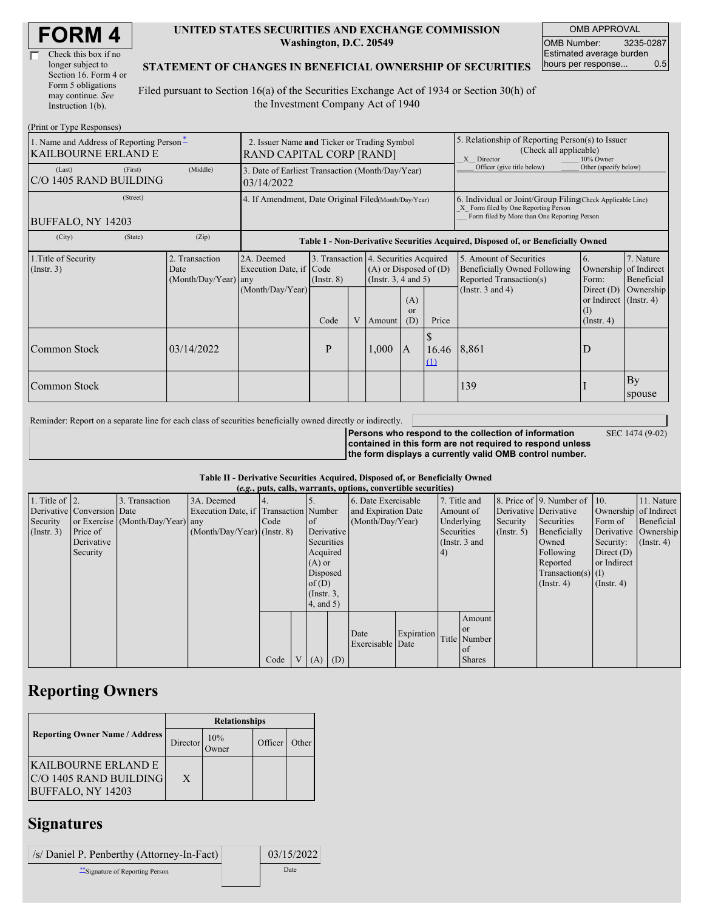| Check this box if no  |
|-----------------------|
| longer subject to     |
| Section 16. Form 4 or |
| Form 5 obligations    |
| may continue. See     |
| Instruction $1(b)$ .  |

#### **UNITED STATES SECURITIES AND EXCHANGE COMMISSION Washington, D.C. 20549**

OMB APPROVAL OMB Number: 3235-0287 Estimated average burden hours per response... 0.5

### **STATEMENT OF CHANGES IN BENEFICIAL OWNERSHIP OF SECURITIES**

Filed pursuant to Section 16(a) of the Securities Exchange Act of 1934 or Section 30(h) of the Investment Company Act of 1940

| (Print or Type Responses)                                              |                                                                         |                                                |                                                                                  |                         |   |                                                                                                                                              |                                                                                                                                                    |                       |                                                                                                                    |                                                                                                           |                                                     |
|------------------------------------------------------------------------|-------------------------------------------------------------------------|------------------------------------------------|----------------------------------------------------------------------------------|-------------------------|---|----------------------------------------------------------------------------------------------------------------------------------------------|----------------------------------------------------------------------------------------------------------------------------------------------------|-----------------------|--------------------------------------------------------------------------------------------------------------------|-----------------------------------------------------------------------------------------------------------|-----------------------------------------------------|
| 1. Name and Address of Reporting Person-<br><b>KAILBOURNE ERLAND E</b> | 2. Issuer Name and Ticker or Trading Symbol<br>RAND CAPITAL CORP [RAND] |                                                |                                                                                  |                         |   |                                                                                                                                              | 5. Relationship of Reporting Person(s) to Issuer<br>(Check all applicable)<br>X Director<br>10% Owner                                              |                       |                                                                                                                    |                                                                                                           |                                                     |
| (Last)<br>C/O 1405 RAND BUILDING                                       | 3. Date of Earliest Transaction (Month/Day/Year)<br>03/14/2022          |                                                |                                                                                  |                         |   |                                                                                                                                              | Officer (give title below)                                                                                                                         | Other (specify below) |                                                                                                                    |                                                                                                           |                                                     |
| BUFFALO, NY 14203                                                      | 4. If Amendment, Date Original Filed(Month/Day/Year)                    |                                                |                                                                                  |                         |   |                                                                                                                                              | 6. Individual or Joint/Group Filing Check Applicable Line)<br>X Form filed by One Reporting Person<br>Form filed by More than One Reporting Person |                       |                                                                                                                    |                                                                                                           |                                                     |
| (City)                                                                 | (State)                                                                 | (Zip)                                          | Table I - Non-Derivative Securities Acquired, Disposed of, or Beneficially Owned |                         |   |                                                                                                                                              |                                                                                                                                                    |                       |                                                                                                                    |                                                                                                           |                                                     |
| 1. Title of Security<br>$($ Instr. 3 $)$                               |                                                                         | 2. Transaction<br>Date<br>(Month/Day/Year) any | 2A. Deemed<br>Execution Date, if Code<br>(Month/Day/Year)                        | $($ Instr. $8)$<br>Code | V | 3. Transaction 4. Securities Acquired<br>$(A)$ or Disposed of $(D)$<br>(Instr. $3, 4$ and $5$ )<br>(A)<br>$\alpha$<br>Price<br>(D)<br>Amount |                                                                                                                                                    |                       | 5. Amount of Securities<br><b>Beneficially Owned Following</b><br>Reported Transaction(s)<br>(Instr. $3$ and $4$ ) | 6.<br>Ownership<br>Form:<br>Direct $(D)$<br>or Indirect $($ Instr. 4 $)$<br>$\rm (I)$<br>$($ Instr. 4 $)$ | 7. Nature<br>of Indirect<br>Beneficial<br>Ownership |
| Common Stock                                                           |                                                                         | 03/14/2022                                     |                                                                                  | P                       |   | 1,000                                                                                                                                        | IA.                                                                                                                                                | 16.46<br>(1)          | 8.861                                                                                                              | D                                                                                                         |                                                     |
| Common Stock                                                           |                                                                         |                                                |                                                                                  |                         |   |                                                                                                                                              |                                                                                                                                                    |                       | 139                                                                                                                |                                                                                                           | By<br>spouse                                        |

Reminder: Report on a separate line for each class of securities beneficially owned directly or indirectly.

SEC 1474 (9-02)

**Persons who respond to the collection of information contained in this form are not required to respond unless the form displays a currently valid OMB control number.**

#### **Table II - Derivative Securities Acquired, Disposed of, or Beneficially Owned**

| (e.g., puts, calls, warrants, options, convertible securities) |                            |                                  |                                       |      |              |                 |                     |                     |            |               |               |                       |                              |                       |                      |
|----------------------------------------------------------------|----------------------------|----------------------------------|---------------------------------------|------|--------------|-----------------|---------------------|---------------------|------------|---------------|---------------|-----------------------|------------------------------|-----------------------|----------------------|
| 1. Title of $\vert$ 2.                                         |                            | 3. Transaction                   | 3A. Deemed                            |      |              |                 |                     | 6. Date Exercisable |            | 7. Title and  |               |                       | 8. Price of 9. Number of 10. |                       | 11. Nature           |
|                                                                | Derivative Conversion Date |                                  | Execution Date, if Transaction Number |      |              |                 | and Expiration Date |                     |            | Amount of     |               | Derivative Derivative |                              | Ownership of Indirect |                      |
| Security                                                       |                            | or Exercise (Month/Day/Year) any |                                       | Code |              | $\circ$ f       |                     | (Month/Day/Year)    |            | Underlying    |               | Security              | Securities                   | Form of               | Beneficial           |
| $($ Instr. 3 $)$                                               | Price of                   |                                  | $(Month/Day/Year)$ (Instr. 8)         |      |              | Derivative      |                     |                     |            | Securities    |               | (Insert. 5)           | Beneficially                 |                       | Derivative Ownership |
|                                                                | Derivative                 |                                  |                                       |      |              | Securities      |                     |                     |            | (Instr. 3 and |               |                       | Owned                        | Security:             | $($ Instr. 4 $)$     |
|                                                                | Security                   |                                  |                                       |      |              | Acquired        |                     |                     |            | $\vert 4)$    |               |                       | Following                    | Direct $(D)$          |                      |
|                                                                |                            |                                  |                                       |      |              | $(A)$ or        |                     |                     |            |               |               |                       | Reported                     | or Indirect           |                      |
|                                                                |                            |                                  |                                       |      |              |                 | Disposed            |                     |            |               |               | $Transaction(s)$ (I)  |                              |                       |                      |
|                                                                |                            |                                  |                                       |      |              | of(D)           |                     |                     |            |               |               |                       | $($ Instr. 4 $)$             | $($ Instr. 4 $)$      |                      |
|                                                                |                            |                                  |                                       |      |              | $($ Instr. $3,$ |                     |                     |            |               |               |                       |                              |                       |                      |
|                                                                |                            |                                  |                                       |      |              | 4, and 5)       |                     |                     |            |               |               |                       |                              |                       |                      |
|                                                                |                            |                                  |                                       |      |              |                 |                     |                     |            |               | Amount        |                       |                              |                       |                      |
|                                                                |                            |                                  |                                       |      |              |                 |                     | Date                | Expiration |               | <b>or</b>     |                       |                              |                       |                      |
|                                                                |                            |                                  |                                       |      |              |                 |                     | Exercisable Date    |            |               | Title Number  |                       |                              |                       |                      |
|                                                                |                            |                                  |                                       |      |              |                 |                     |                     |            |               | of            |                       |                              |                       |                      |
|                                                                |                            |                                  |                                       | Code | $\mathbf{V}$ | $(A)$ $(D)$     |                     |                     |            |               | <b>Shares</b> |                       |                              |                       |                      |

### **Reporting Owners**

|                                                                     | <b>Relationships</b> |                 |         |       |  |  |  |
|---------------------------------------------------------------------|----------------------|-----------------|---------|-------|--|--|--|
| <b>Reporting Owner Name / Address</b>                               | Director             | 10%<br><b>T</b> | Officer | Other |  |  |  |
| IKAILBOURNE ERLAND E<br>C/O 1405 RAND BUILDING<br>BUFFALO, NY 14203 | X                    |                 |         |       |  |  |  |

# **Signatures**

| /s/ Daniel P. Penberthy (Attorney-In-Fact) | 03/15/2022 |
|--------------------------------------------|------------|
| ** Signature of Reporting Person           | Date       |